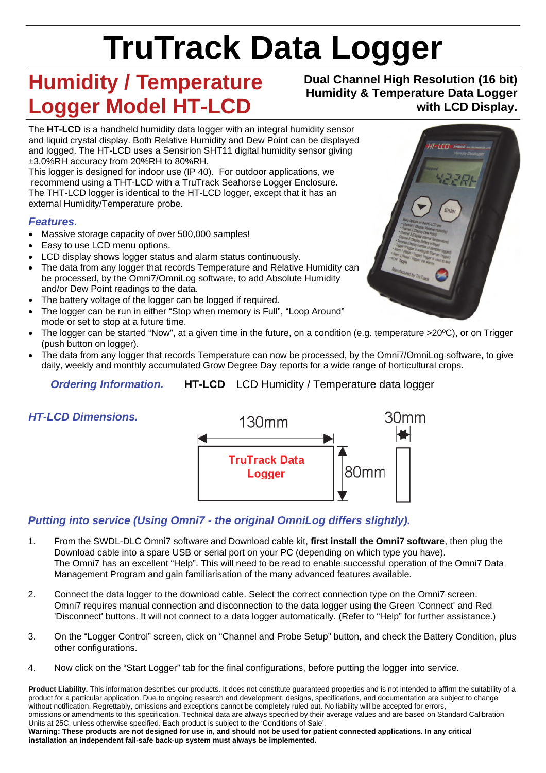# **TruTrack Data Logger**

# **Humidity / Temperature Logger Model HT-LCD**

#### **Dual Channel High Resolution (16 bit) Humidity & Temperature Data Logger with LCD Display.**

The **HT-LCD** is a handheld humidity data logger with an integral humidity sensor and liquid crystal display. Both Relative Humidity and Dew Point can be displayed and logged. The HT-LCD uses a Sensirion SHT11 digital humidity sensor giving ±3.0%RH accuracy from 20%RH to 80%RH.

This logger is designed for indoor use (IP 40). For outdoor applications, we recommend using a THT-LCD with a TruTrack Seahorse Logger Enclosure. The THT-LCD logger is identical to the HT-LCD logger, except that it has an external Humidity/Temperature probe.

#### *Features.*

- Massive storage capacity of over 500,000 samples!
- Easy to use LCD menu options.
- LCD display shows logger status and alarm status continuously.
- The data from any logger that records Temperature and Relative Humidity can be processed, by the Omni7/OmniLog software, to add Absolute Humidity and/or Dew Point readings to the data.
- The battery voltage of the logger can be logged if required.
- The logger can be run in either "Stop when memory is Full", "Loop Around" mode or set to stop at a future time.
- The logger can be started "Now", at a given time in the future, on a condition (e.g. temperature >20ºC), or on Trigger (push button on logger).
- The data from any logger that records Temperature can now be processed, by the Omni7/OmniLog software, to give daily, weekly and monthly accumulated Grow Degree Day reports for a wide range of horticultural crops.

*Ordering Information.* **HT-LCD** LCD Humidity / Temperature data logger

## *HT-LCD Dimensions.*



## *Putting into service (Using Omni7 - the original OmniLog differs slightly).*

- 1. From the SWDL-DLC Omni7 software and Download cable kit, **first install the Omni7 software**, then plug the Download cable into a spare USB or serial port on your PC (depending on which type you have). The Omni7 has an excellent "Help". This will need to be read to enable successful operation of the Omni7 Data Management Program and gain familiarisation of the many advanced features available.
- 2. Connect the data logger to the download cable. Select the correct connection type on the Omni7 screen. Omni7 requires manual connection and disconnection to the data logger using the Green 'Connect' and Red 'Disconnect' buttons. It will not connect to a data logger automatically. (Refer to "Help" for further assistance.)
- 3. On the "Logger Control" screen, click on "Channel and Probe Setup" button, and check the Battery Condition, plus other configurations.
- 4. Now click on the "Start Logger" tab for the final configurations, before putting the logger into service.

Product Liability. This information describes our products. It does not constitute guaranteed properties and is not intended to affirm the suitability of a product for a particular application. Due to ongoing research and development, designs, specifications, and documentation are subject to change without notification. Regrettably, omissions and exceptions cannot be completely ruled out. No liability will be accepted for errors, omissions or amendments to this specification. Technical data are always specified by their average values and are based on Standard Calibration Units at 25C, unless otherwise specified. Each product is subject to the 'Conditions of Sale'. **Warning: These products are not designed for use in, and should not be used for patient connected applications. In any critical** 

**installation an independent fail-safe back-up system must always be implemented.** 

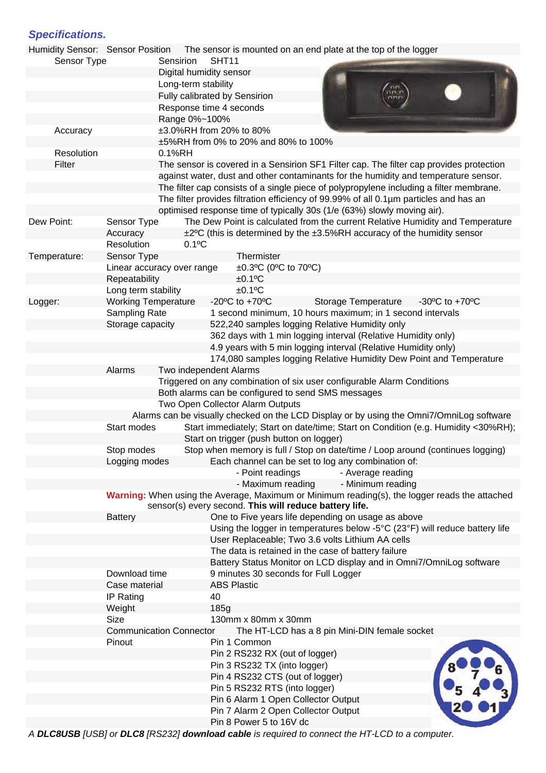#### *Specifications.*

|              |                                                                                                                                                         | Humidity Sensor: Sensor Position The sensor is mounted on an end plate at the top of the logger                                                                                                                                                                         |  |
|--------------|---------------------------------------------------------------------------------------------------------------------------------------------------------|-------------------------------------------------------------------------------------------------------------------------------------------------------------------------------------------------------------------------------------------------------------------------|--|
| Sensor Type  |                                                                                                                                                         | SHT11<br>Sensirion                                                                                                                                                                                                                                                      |  |
|              |                                                                                                                                                         | Digital humidity sensor                                                                                                                                                                                                                                                 |  |
|              |                                                                                                                                                         | Long-term stability                                                                                                                                                                                                                                                     |  |
|              |                                                                                                                                                         | Fully calibrated by Sensirion<br>Response time 4 seconds                                                                                                                                                                                                                |  |
|              |                                                                                                                                                         | Range 0%~100%                                                                                                                                                                                                                                                           |  |
| Accuracy     |                                                                                                                                                         | ±3.0%RH from 20% to 80%                                                                                                                                                                                                                                                 |  |
|              |                                                                                                                                                         | ±5%RH from 0% to 20% and 80% to 100%                                                                                                                                                                                                                                    |  |
| Resolution   |                                                                                                                                                         | 0.1%RH                                                                                                                                                                                                                                                                  |  |
| Filter       |                                                                                                                                                         | The sensor is covered in a Sensirion SF1 Filter cap. The filter cap provides protection                                                                                                                                                                                 |  |
|              |                                                                                                                                                         | against water, dust and other contaminants for the humidity and temperature sensor.<br>The filter cap consists of a single piece of polypropylene including a filter membrane.<br>The filter provides filtration efficiency of 99.99% of all 0.1µm particles and has an |  |
|              |                                                                                                                                                         | optimised response time of typically 30s (1/e (63%) slowly moving air).                                                                                                                                                                                                 |  |
| Dew Point:   | Sensor Type                                                                                                                                             | The Dew Point is calculated from the current Relative Humidity and Temperature                                                                                                                                                                                          |  |
|              | Accuracy                                                                                                                                                | ±2°C (this is determined by the ±3.5%RH accuracy of the humidity sensor                                                                                                                                                                                                 |  |
|              | Resolution                                                                                                                                              | $0.1$ <sup>o</sup> C                                                                                                                                                                                                                                                    |  |
| Temperature: | Sensor Type                                                                                                                                             | Thermister                                                                                                                                                                                                                                                              |  |
|              | Linear accuracy over range                                                                                                                              | $\pm 0.3$ °C (0°C to 70°C)                                                                                                                                                                                                                                              |  |
|              | Repeatability<br>Long term stability                                                                                                                    | $±0.1$ <sup>o</sup> C<br>$±0.1$ <sup>o</sup> C                                                                                                                                                                                                                          |  |
| Logger:      | <b>Working Temperature</b>                                                                                                                              | -20 $\mathrm{^{\circ}C}$ to +70 $\mathrm{^{\circ}C}$<br>Storage Temperature<br>-30 $\mathrm{^{\circ}C}$ to +70 $\mathrm{^{\circ}C}$                                                                                                                                     |  |
|              | Sampling Rate                                                                                                                                           | 1 second minimum, 10 hours maximum; in 1 second intervals                                                                                                                                                                                                               |  |
|              | Storage capacity                                                                                                                                        | 522,240 samples logging Relative Humidity only                                                                                                                                                                                                                          |  |
|              |                                                                                                                                                         | 362 days with 1 min logging interval (Relative Humidity only)                                                                                                                                                                                                           |  |
|              |                                                                                                                                                         | 4.9 years with 5 min logging interval (Relative Humidity only)                                                                                                                                                                                                          |  |
|              |                                                                                                                                                         | 174,080 samples logging Relative Humidity Dew Point and Temperature                                                                                                                                                                                                     |  |
|              | Alarms                                                                                                                                                  | Two independent Alarms                                                                                                                                                                                                                                                  |  |
|              |                                                                                                                                                         | Triggered on any combination of six user configurable Alarm Conditions                                                                                                                                                                                                  |  |
|              |                                                                                                                                                         | Both alarms can be configured to send SMS messages                                                                                                                                                                                                                      |  |
|              |                                                                                                                                                         | Two Open Collector Alarm Outputs<br>Alarms can be visually checked on the LCD Display or by using the Omni7/OmniLog software                                                                                                                                            |  |
|              | Start modes                                                                                                                                             | Start immediately; Start on date/time; Start on Condition (e.g. Humidity <30%RH);                                                                                                                                                                                       |  |
|              |                                                                                                                                                         | Start on trigger (push button on logger)                                                                                                                                                                                                                                |  |
|              | Stop modes                                                                                                                                              | Stop when memory is full / Stop on date/time / Loop around (continues logging)                                                                                                                                                                                          |  |
|              | Logging modes                                                                                                                                           | Each channel can be set to log any combination of:                                                                                                                                                                                                                      |  |
|              |                                                                                                                                                         | - Point readings<br>- Average reading                                                                                                                                                                                                                                   |  |
|              |                                                                                                                                                         | - Maximum reading<br>- Minimum reading                                                                                                                                                                                                                                  |  |
|              | Warning: When using the Average, Maximum or Minimum reading(s), the logger reads the attached<br>sensor(s) every second. This will reduce battery life. |                                                                                                                                                                                                                                                                         |  |
|              | <b>Battery</b>                                                                                                                                          | One to Five years life depending on usage as above                                                                                                                                                                                                                      |  |
|              |                                                                                                                                                         | Using the logger in temperatures below -5°C (23°F) will reduce battery life<br>User Replaceable; Two 3.6 volts Lithium AA cells                                                                                                                                         |  |
|              |                                                                                                                                                         | The data is retained in the case of battery failure                                                                                                                                                                                                                     |  |
|              |                                                                                                                                                         | Battery Status Monitor on LCD display and in Omni7/OmniLog software                                                                                                                                                                                                     |  |
|              | Download time                                                                                                                                           | 9 minutes 30 seconds for Full Logger                                                                                                                                                                                                                                    |  |
|              | Case material                                                                                                                                           | <b>ABS Plastic</b>                                                                                                                                                                                                                                                      |  |
|              | IP Rating                                                                                                                                               | 40                                                                                                                                                                                                                                                                      |  |
|              | Weight                                                                                                                                                  | 185g                                                                                                                                                                                                                                                                    |  |
|              | <b>Size</b>                                                                                                                                             | 130mm x 80mm x 30mm                                                                                                                                                                                                                                                     |  |
|              | <b>Communication Connector</b>                                                                                                                          | The HT-LCD has a 8 pin Mini-DIN female socket                                                                                                                                                                                                                           |  |
|              | Pinout                                                                                                                                                  | Pin 1 Common                                                                                                                                                                                                                                                            |  |
|              |                                                                                                                                                         | Pin 2 RS232 RX (out of logger)<br>Pin 3 RS232 TX (into logger)                                                                                                                                                                                                          |  |
|              |                                                                                                                                                         | Pin 4 RS232 CTS (out of logger)                                                                                                                                                                                                                                         |  |
|              |                                                                                                                                                         | Pin 5 RS232 RTS (into logger)                                                                                                                                                                                                                                           |  |
|              |                                                                                                                                                         | Pin 6 Alarm 1 Open Collector Output                                                                                                                                                                                                                                     |  |
|              |                                                                                                                                                         | Pin 7 Alarm 2 Open Collector Output                                                                                                                                                                                                                                     |  |
|              |                                                                                                                                                         | Pin 8 Power 5 to 16V dc                                                                                                                                                                                                                                                 |  |

*A DLC8USB [USB] or DLC8 [RS232] download cable is required to connect the HT-LCD to a computer.*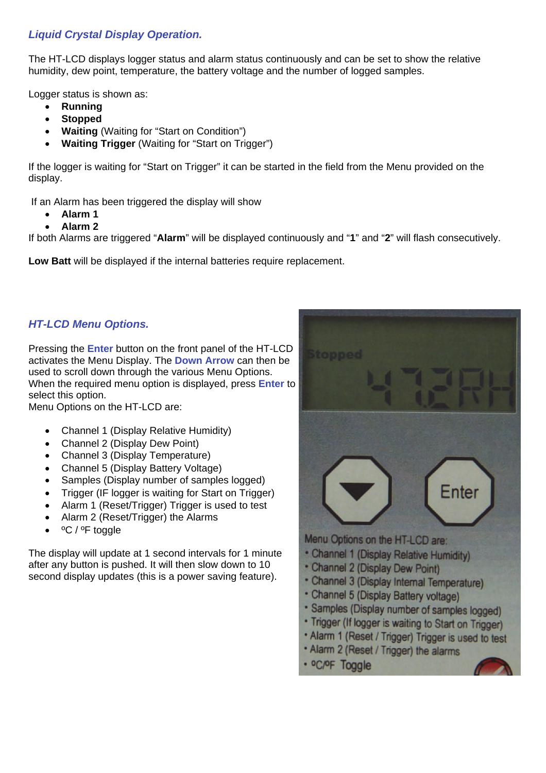#### *Liquid Crystal Display Operation.*

The HT-LCD displays logger status and alarm status continuously and can be set to show the relative humidity, dew point, temperature, the battery voltage and the number of logged samples.

Logger status is shown as:

- **Running**
- **Stopped**
- **Waiting** (Waiting for "Start on Condition")
- **Waiting Trigger** (Waiting for "Start on Trigger")

If the logger is waiting for "Start on Trigger" it can be started in the field from the Menu provided on the display.

If an Alarm has been triggered the display will show

- **Alarm 1**
- **Alarm 2**

If both Alarms are triggered "**Alarm**" will be displayed continuously and "**1**" and "**2**" will flash consecutively.

**Low Batt** will be displayed if the internal batteries require replacement.

#### *HT-LCD Menu Options.*

Pressing the **Enter** button on the front panel of the HT-LCD activates the Menu Display. The **Down Arrow** can then be used to scroll down through the various Menu Options. When the required menu option is displayed, press **Enter** to select this option.

Menu Options on the HT-LCD are:

- Channel 1 (Display Relative Humidity)
- Channel 2 (Display Dew Point)
- Channel 3 (Display Temperature)
- Channel 5 (Display Battery Voltage)
- Samples (Display number of samples logged)
- Trigger (IF logger is waiting for Start on Trigger)
- Alarm 1 (Reset/Trigger) Trigger is used to test
- Alarm 2 (Reset/Trigger) the Alarms
- ºC / ºF toggle

The display will update at 1 second intervals for 1 minute after any button is pushed. It will then slow down to 10 second display updates (this is a power saving feature).